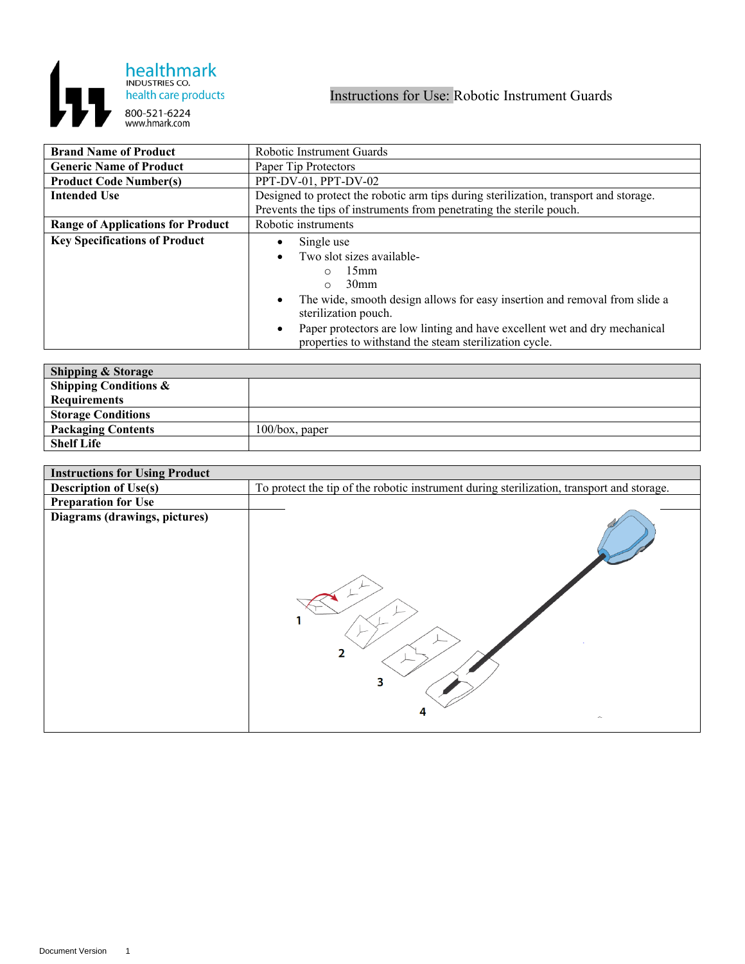

| <b>Brand Name of Product</b>             | Robotic Instrument Guards                                                                                                            |
|------------------------------------------|--------------------------------------------------------------------------------------------------------------------------------------|
| <b>Generic Name of Product</b>           | Paper Tip Protectors                                                                                                                 |
| <b>Product Code Number(s)</b>            | PPT-DV-01, PPT-DV-02                                                                                                                 |
| <b>Intended Use</b>                      | Designed to protect the robotic arm tips during sterilization, transport and storage.                                                |
|                                          | Prevents the tips of instruments from penetrating the sterile pouch.                                                                 |
| <b>Range of Applications for Product</b> | Robotic instruments                                                                                                                  |
| <b>Key Specifications of Product</b>     | Single use                                                                                                                           |
|                                          | Two slot sizes available-                                                                                                            |
|                                          | 15 <sub>mm</sub><br>∩                                                                                                                |
|                                          | 30 <sub>mm</sub><br>$\circ$                                                                                                          |
|                                          | The wide, smooth design allows for easy insertion and removal from slide a<br>sterilization pouch.                                   |
|                                          | Paper protectors are low linting and have excellent wet and dry mechanical<br>properties to withstand the steam sterilization cycle. |

| <b>Shipping &amp; Storage</b>    |                   |
|----------------------------------|-------------------|
| <b>Shipping Conditions &amp;</b> |                   |
| <b>Requirements</b>              |                   |
| <b>Storage Conditions</b>        |                   |
| <b>Packaging Contents</b>        | $100/b$ ox, paper |
| <b>Shelf Life</b>                |                   |

| <b>Instructions for Using Product</b> |                                                                                           |
|---------------------------------------|-------------------------------------------------------------------------------------------|
| <b>Description of Use(s)</b>          | To protect the tip of the robotic instrument during sterilization, transport and storage. |
| <b>Preparation for Use</b>            |                                                                                           |
| Diagrams (drawings, pictures)         | 2<br>3<br>4<br>$\widehat{\phantom{a}}$                                                    |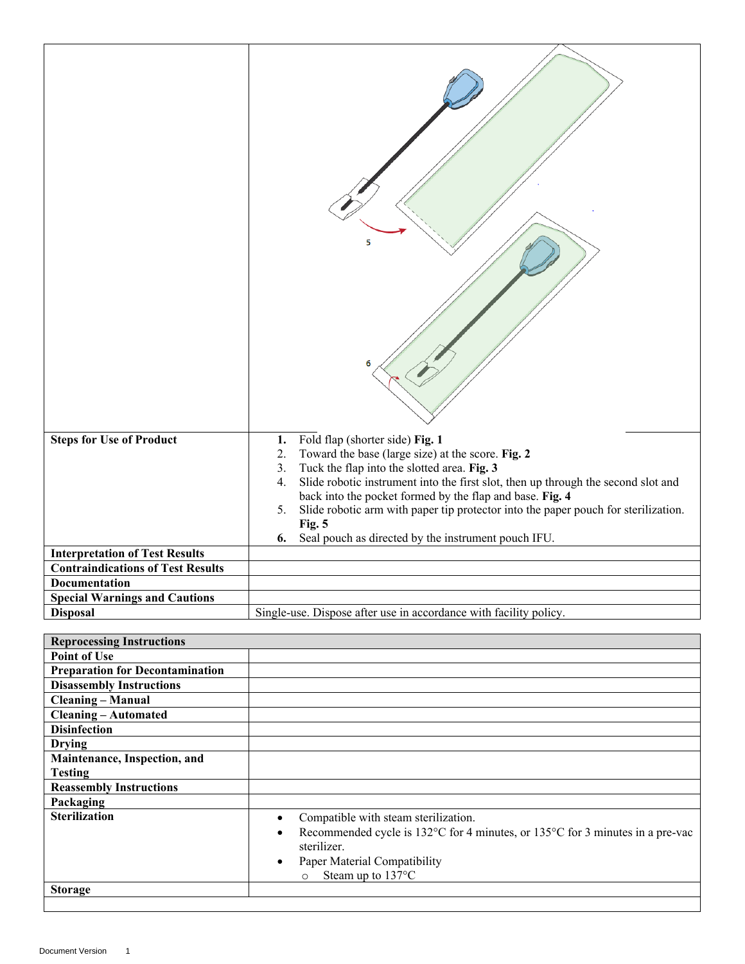|                                          | 5                                                                                                                                                                                                                                               |
|------------------------------------------|-------------------------------------------------------------------------------------------------------------------------------------------------------------------------------------------------------------------------------------------------|
| <b>Steps for Use of Product</b>          | Fold flap (shorter side) Fig. 1<br>1.<br>Toward the base (large size) at the score. Fig. 2<br>2.<br>Tuck the flap into the slotted area. Fig. 3<br>3.                                                                                           |
|                                          | Slide robotic instrument into the first slot, then up through the second slot and<br>4.<br>back into the pocket formed by the flap and base. Fig. 4<br>Slide robotic arm with paper tip protector into the paper pouch for sterilization.<br>5. |
|                                          | Fig. 5                                                                                                                                                                                                                                          |
| <b>Interpretation of Test Results</b>    | Seal pouch as directed by the instrument pouch IFU.<br>6.                                                                                                                                                                                       |
| <b>Contraindications of Test Results</b> |                                                                                                                                                                                                                                                 |
| <b>Documentation</b>                     |                                                                                                                                                                                                                                                 |
| <b>Special Warnings and Cautions</b>     |                                                                                                                                                                                                                                                 |
| <b>Disposal</b>                          | Single-use. Dispose after use in accordance with facility policy.                                                                                                                                                                               |
|                                          |                                                                                                                                                                                                                                                 |

| Compatible with steam sterilization.<br>$\bullet$                                                      |
|--------------------------------------------------------------------------------------------------------|
| Recommended cycle is $132^{\circ}$ C for 4 minutes, or $135^{\circ}$ C for 3 minutes in a pre-vac<br>٠ |
| sterilizer.                                                                                            |
| Paper Material Compatibility                                                                           |
| Steam up to 137°C<br>$\circ$                                                                           |
|                                                                                                        |
|                                                                                                        |

 $\overline{\phantom{a}}$ 

 $\lfloor$